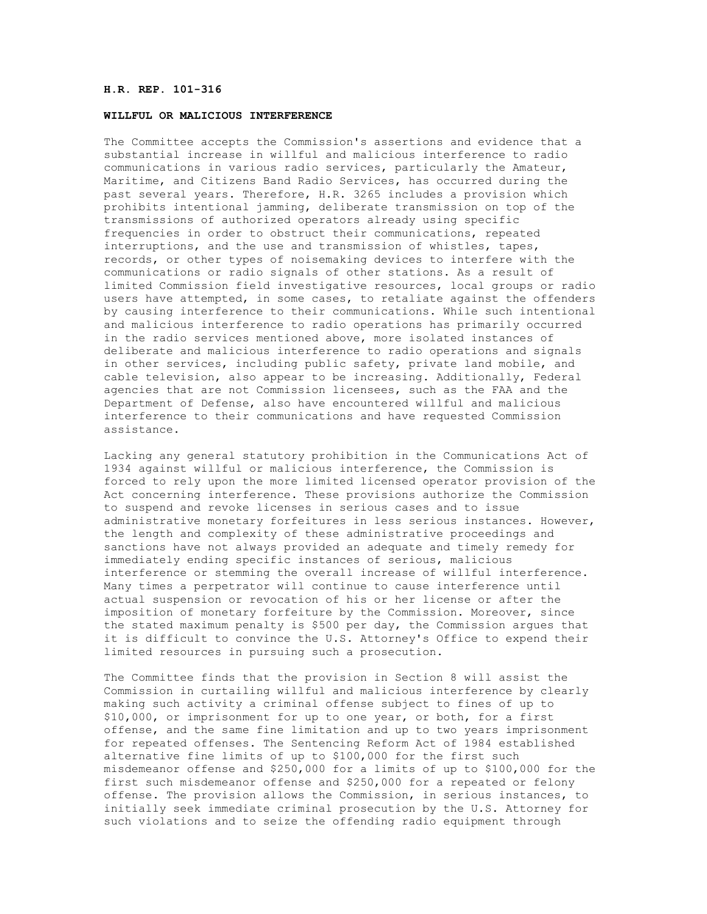## **H.R. REP. 101-316**

## **WILLFUL OR MALICIOUS INTERFERENCE**

The Committee accepts the Commission's assertions and evidence that a substantial increase in willful and malicious interference to radio communications in various radio services, particularly the Amateur, Maritime, and Citizens Band Radio Services, has occurred during the past several years. Therefore, H.R. 3265 includes a provision which prohibits intentional jamming, deliberate transmission on top of the transmissions of authorized operators already using specific frequencies in order to obstruct their communications, repeated interruptions, and the use and transmission of whistles, tapes, records, or other types of noisemaking devices to interfere with the communications or radio signals of other stations. As a result of limited Commission field investigative resources, local groups or radio users have attempted, in some cases, to retaliate against the offenders by causing interference to their communications. While such intentional and malicious interference to radio operations has primarily occurred in the radio services mentioned above, more isolated instances of deliberate and malicious interference to radio operations and signals in other services, including public safety, private land mobile, and cable television, also appear to be increasing. Additionally, Federal agencies that are not Commission licensees, such as the FAA and the Department of Defense, also have encountered willful and malicious interference to their communications and have requested Commission assistance.

Lacking any general statutory prohibition in the Communications Act of 1934 against willful or malicious interference, the Commission is forced to rely upon the more limited licensed operator provision of the Act concerning interference. These provisions authorize the Commission to suspend and revoke licenses in serious cases and to issue administrative monetary forfeitures in less serious instances. However, the length and complexity of these administrative proceedings and sanctions have not always provided an adequate and timely remedy for immediately ending specific instances of serious, malicious interference or stemming the overall increase of willful interference. Many times a perpetrator will continue to cause interference until actual suspension or revocation of his or her license or after the imposition of monetary forfeiture by the Commission. Moreover, since the stated maximum penalty is \$500 per day, the Commission argues that it is difficult to convince the U.S. Attorney's Office to expend their limited resources in pursuing such a prosecution.

The Committee finds that the provision in Section 8 will assist the Commission in curtailing willful and malicious interference by clearly making such activity a criminal offense subject to fines of up to \$10,000, or imprisonment for up to one year, or both, for a first offense, and the same fine limitation and up to two years imprisonment for repeated offenses. The Sentencing Reform Act of 1984 established alternative fine limits of up to \$100,000 for the first such misdemeanor offense and \$250,000 for a limits of up to \$100,000 for the first such misdemeanor offense and \$250,000 for a repeated or felony offense. The provision allows the Commission, in serious instances, to initially seek immediate criminal prosecution by the U.S. Attorney for such violations and to seize the offending radio equipment through